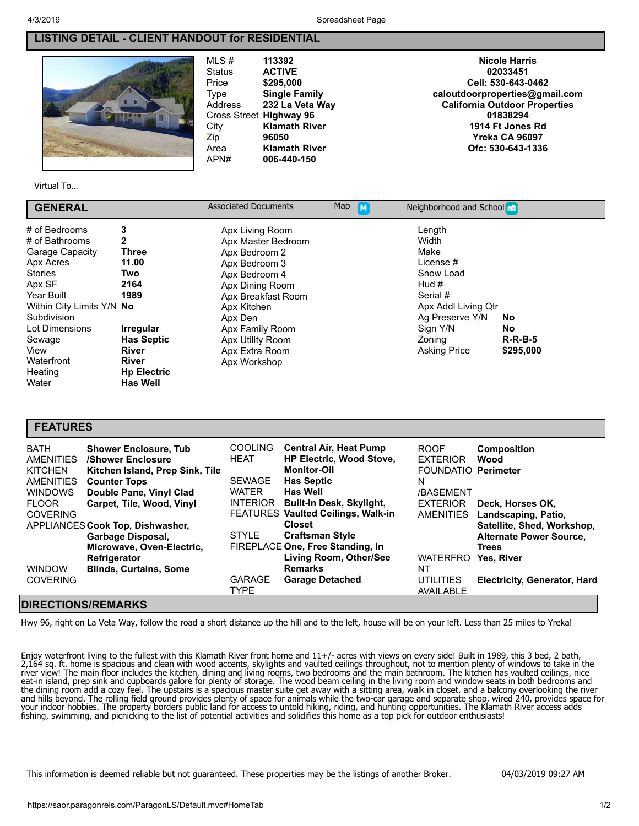## **LISTING DETAIL - CLIENT HANDOUT for RESIDENTIAL**

MLS # **[113392](javascript:;)** Status **ACTIVE** Price **\$295,000** Type **Single Family** Address **232 La Veta Way** Cross Street **Highway 96** City **Klamath River** Zip **96050** Area **Klamath River** APN# **006-440-150**

**Nicole Harris 02033451 Cell: 530-643-0462 [caloutdoorproperties@gmail.com](javascript:;) California Outdoor Properties 01838294 1914 Ft Jones Rd Yreka CA 96097 Ofc: 530-643-1336**

Virtual To…

| <b>GENERAL</b>            |                    | <b>Associated Documents</b> | Map | Neighborhood and School |           |  |
|---------------------------|--------------------|-----------------------------|-----|-------------------------|-----------|--|
| # of Bedrooms             | 3                  | Apx Living Room             |     | Length                  |           |  |
| # of Bathrooms            | 2                  | Apx Master Bedroom          |     | Width                   |           |  |
| <b>Garage Capacity</b>    | Three              | Apx Bedroom 2               |     | Make                    |           |  |
| Apx Acres                 | 11.00              | Apx Bedroom 3               |     | License #               |           |  |
| <b>Stories</b>            | Two                | Apx Bedroom 4               |     | Snow Load               |           |  |
| Apx SF                    | 2164               | Apx Dining Room             |     | Hud #                   |           |  |
| Year Built                | 1989               | Apx Breakfast Room          |     | Serial #                |           |  |
| Within City Limits Y/N No |                    | Apx Kitchen                 |     | Apx Addl Living Qtr     |           |  |
| Subdivision               |                    | Apx Den                     |     | Ag Preserve Y/N         | No        |  |
| Lot Dimensions            | <b>Irregular</b>   | Apx Family Room             |     | Sign Y/N                | No        |  |
| Sewage                    | <b>Has Septic</b>  | Apx Utility Room            |     | Zoning                  | $R-R-B-5$ |  |
| View                      | <b>River</b>       | Apx Extra Room              |     | <b>Asking Price</b>     | \$295,000 |  |
| Waterfront                | <b>River</b>       | Apx Workshop                |     |                         |           |  |
| Heating                   | <b>Hp Electric</b> |                             |     |                         |           |  |
| Water                     | <b>Has Well</b>    |                             |     |                         |           |  |

## **FEATURES**

| <b>BATH</b><br><b>AMENITIES</b> | <b>Shower Enclosure, Tub</b><br>/Shower Enclosure | <b>COOLING</b><br><b>HEAT</b> | <b>Central Air, Heat Pump</b><br><b>HP Electric, Wood Stove,</b> | <b>ROOF</b><br><b>EXTERIOR</b> | <b>Composition</b><br>Wood          |
|---------------------------------|---------------------------------------------------|-------------------------------|------------------------------------------------------------------|--------------------------------|-------------------------------------|
| <b>KITCHEN</b>                  | Kitchen Island, Prep Sink, Tile                   |                               | <b>Monitor-Oil</b>                                               | FOUNDATIO Perimeter            |                                     |
| <b>AMENITIES</b>                | <b>Counter Tops</b>                               | <b>SEWAGE</b>                 | <b>Has Septic</b>                                                | N                              |                                     |
| <b>WINDOWS</b>                  | Double Pane, Vinyl Clad                           | <b>WATER</b>                  | <b>Has Well</b>                                                  | /BASEMENT                      |                                     |
| <b>FLOOR</b>                    | Carpet, Tile, Wood, Vinyl                         | <b>INTERIOR</b>               | Built-In Desk, Skylight,                                         | <b>EXTERIOR</b>                | Deck. Horses OK.                    |
| <b>COVERING</b>                 |                                                   |                               | <b>FEATURES Vaulted Ceilings, Walk-in</b>                        | AMENITIES                      | Landscaping, Patio,                 |
|                                 | APPLIANCES Cook Top, Dishwasher,                  |                               | <b>Closet</b>                                                    |                                | Satellite, Shed, Workshop,          |
|                                 | Garbage Disposal,                                 | <b>STYLE</b>                  | <b>Craftsman Style</b>                                           |                                | <b>Alternate Power Source,</b>      |
|                                 | Microwave, Oven-Electric,                         |                               | FIREPLACE One, Free Standing, In                                 |                                | <b>Trees</b>                        |
|                                 | Refrigerator                                      |                               | Living Room, Other/See                                           | <b>WATERFRO</b>                | <b>Yes. River</b>                   |
| <b>WINDOW</b>                   | <b>Blinds, Curtains, Some</b>                     |                               | <b>Remarks</b>                                                   | NT                             |                                     |
| <b>COVERING</b>                 |                                                   | <b>GARAGE</b>                 | <b>Garage Detached</b>                                           | <b>UTILITIES</b>               | <b>Electricity, Generator, Hard</b> |
|                                 |                                                   | <b>TYPE</b>                   |                                                                  | AVAILABLE                      |                                     |

## **DIRECTIONS/REMARKS**

Hwy 96, right on La Veta Way, follow the road a short distance up the hill and to the left, house will be on your left. Less than 25 miles to Yreka!

Enjoy waterfront living to the fullest with this Klamath River front home and 11+/- acres with views on every side! Built in 1989, this 3 bed, 2 bath, 2,164 sq. ft. home is spacious and clean with wood accents, skylights and vaulted ceilings throughout, not to mention plenty of windows to take in the river view! The main floor includes the kitchen, dining and living rooms, two bedrooms and the main bathroom. The kitchen has vaulted ceilings, nice eat-in island, prep sink and cupboards galore for plenty of storage. The wood beam ceiling in the living room and window seats in both bedrooms and the dining room add a cozy feel. The upstairs is a spacious master suite get away with a sitting area, walk in closet, and a balcony overlooking the river and hills beyond. The rolling field ground provides plenty of space for animals while the two-car garage and separate shop, wired 240, provides space for your indoor hobbies. The property borders public land for access to untold hiking, riding, and hunting opportunities. The Klamath River access adds fishing, swimming, and picnicking to the list of potential activities and solidifies this home as a top pick for outdoor enthusiasts!